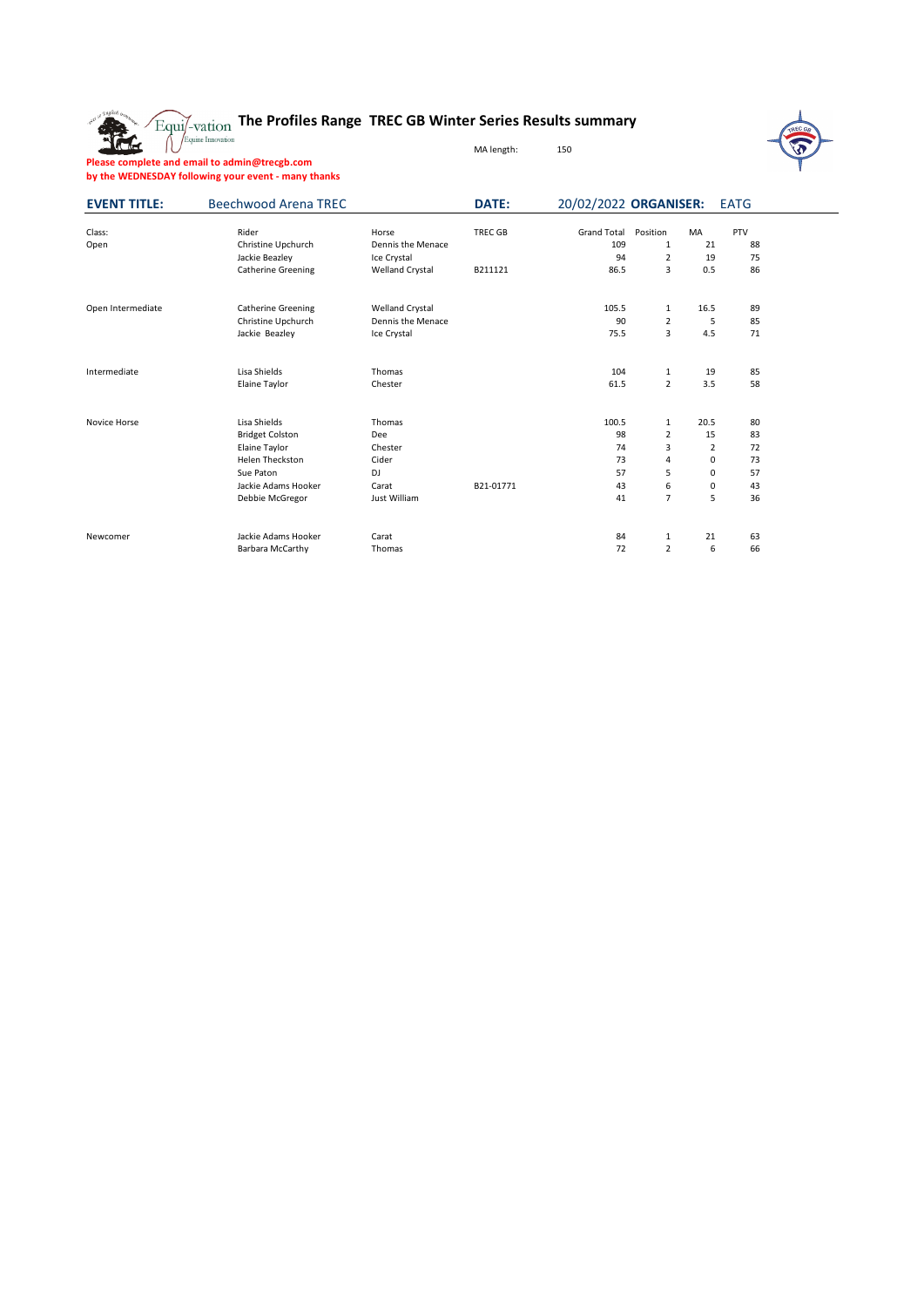The

## **The Profiles Range TREC GB Winter Series Results summary**

MA length: 150



**Please complete and email to admin@trecgb.com by the WEDNESDAY following your event - many thanks**

| <b>EVENT TITLE:</b> | <b>Beechwood Arena TREC</b>                                                |                                                                     | DATE:                     | 20/02/2022 ORGANISER:                   |                                                       |                                   | <b>EATG</b>           |  |
|---------------------|----------------------------------------------------------------------------|---------------------------------------------------------------------|---------------------------|-----------------------------------------|-------------------------------------------------------|-----------------------------------|-----------------------|--|
| Class:<br>Open      | Rider<br>Christine Upchurch<br>Jackie Beazley<br><b>Catherine Greening</b> | Horse<br>Dennis the Menace<br>Ice Crystal<br><b>Welland Crystal</b> | <b>TREC GB</b><br>B211121 | <b>Grand Total</b><br>109<br>94<br>86.5 | Position<br>1<br>$\overline{2}$<br>3                  | <b>MA</b><br>21<br>19<br>0.5      | PTV<br>88<br>75<br>86 |  |
|                     |                                                                            |                                                                     |                           |                                         |                                                       |                                   |                       |  |
| Open Intermediate   | <b>Catherine Greening</b><br>Christine Upchurch<br>Jackie Beazley          | <b>Welland Crystal</b><br>Dennis the Menace<br>Ice Crystal          |                           | 105.5<br>90<br>75.5                     | $\mathbf{1}$<br>$\overline{2}$<br>3                   | 16.5<br>5<br>4.5                  | 89<br>85<br>71        |  |
| Intermediate        | Lisa Shields                                                               | Thomas                                                              |                           | 104                                     | 1                                                     | 19                                | 85                    |  |
|                     | Elaine Taylor                                                              | Chester                                                             |                           | 61.5                                    | $\overline{2}$                                        | 3.5                               | 58                    |  |
| Novice Horse        | Lisa Shields<br><b>Bridget Colston</b><br>Elaine Taylor<br>Helen Theckston | Thomas<br>Dee<br>Chester<br>Cider                                   |                           | 100.5<br>98<br>74<br>73                 | $\mathbf{1}$<br>$\overline{2}$<br>3<br>$\overline{4}$ | 20.5<br>15<br>$\overline{2}$<br>0 | 80<br>83<br>72<br>73  |  |
|                     | Sue Paton<br>Jackie Adams Hooker<br>Debbie McGregor                        | <b>DJ</b><br>Carat<br>Just William                                  | B21-01771                 | 57<br>43<br>41                          | 5<br>6<br>$\overline{7}$                              | 0<br>0<br>5                       | 57<br>43<br>36        |  |
| Newcomer            | Jackie Adams Hooker<br><b>Barbara McCarthy</b>                             | Carat<br>Thomas                                                     |                           | 84<br>72                                | 1<br>$\overline{2}$                                   | 21<br>6                           | 63<br>66              |  |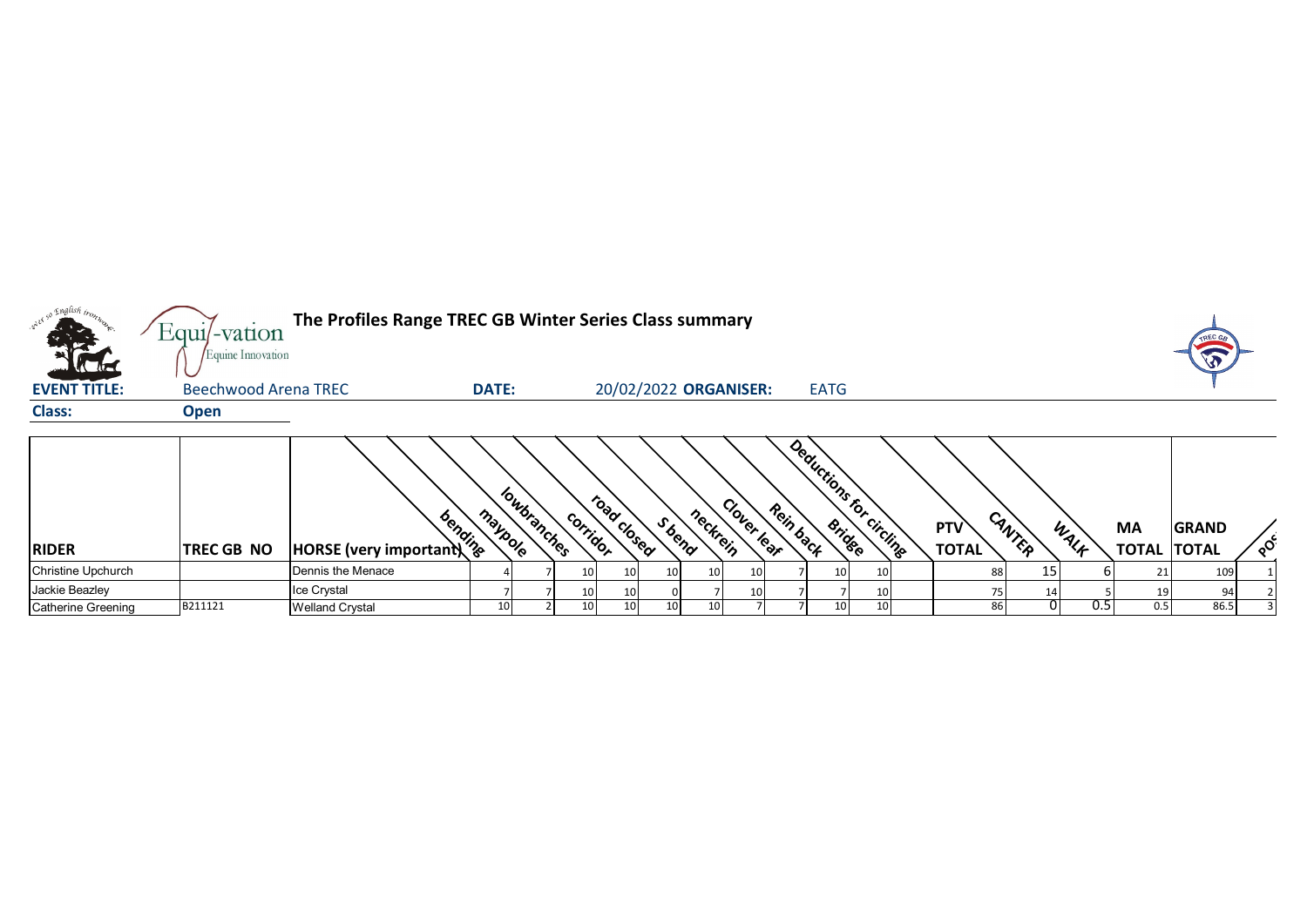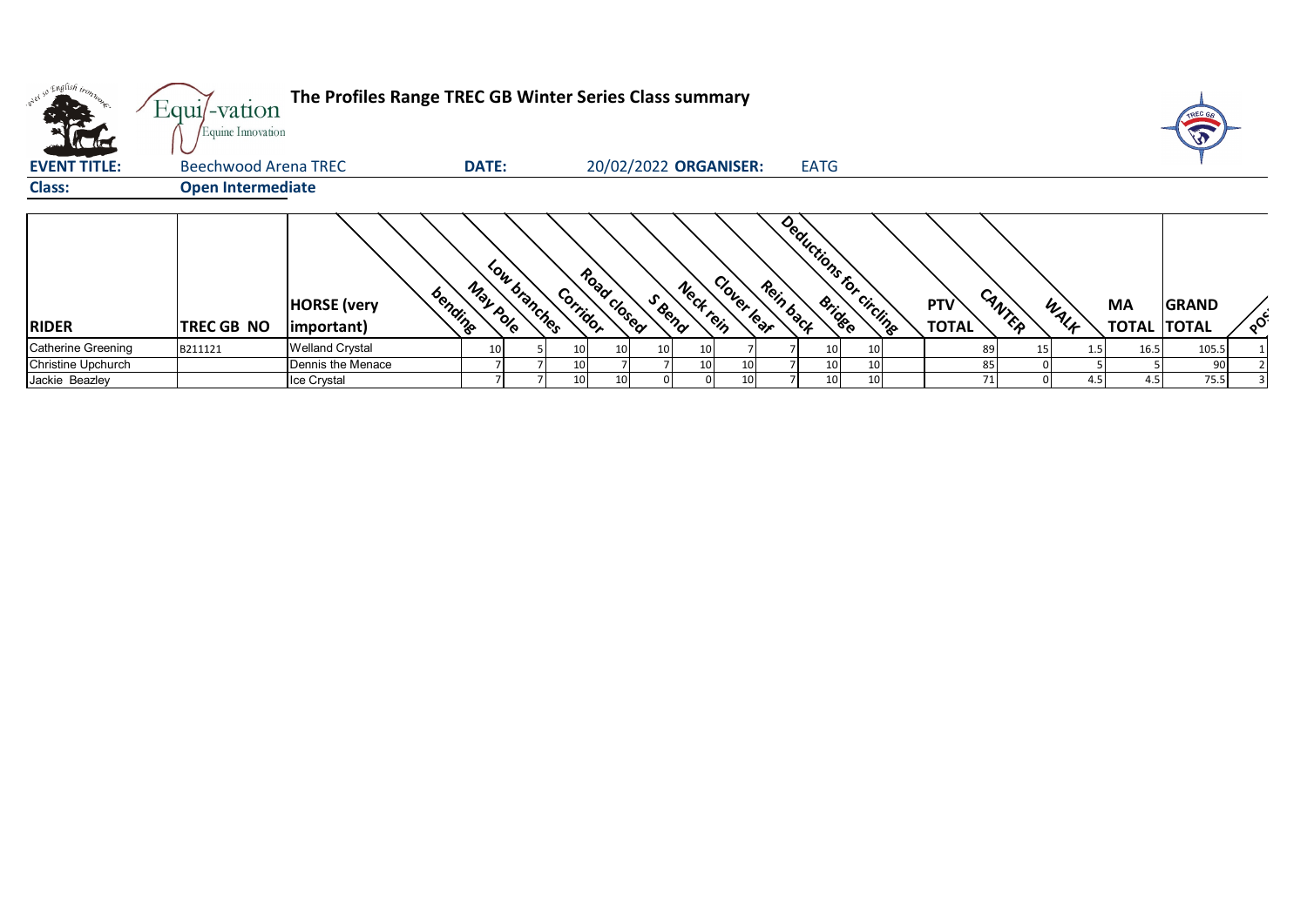| <b>ALLES</b>        | Equi/-vation<br>Equine Innovation | The Profiles Range TREC GB Winter Series Class summary |                 |              |                 |             |                       |                 |                 |           |             |                         |                     |        |      |                           | TREC GA                      |          |
|---------------------|-----------------------------------|--------------------------------------------------------|-----------------|--------------|-----------------|-------------|-----------------------|-----------------|-----------------|-----------|-------------|-------------------------|---------------------|--------|------|---------------------------|------------------------------|----------|
| <b>EVENT TITLE:</b> | <b>Beechwood Arena TREC</b>       |                                                        | <b>DATE:</b>    |              |                 |             | 20/02/2022 ORGANISER: |                 |                 |           | <b>EATG</b> |                         |                     |        |      |                           |                              |          |
| <b>Class:</b>       | <b>Open Intermediate</b>          |                                                        |                 |              |                 |             |                       |                 |                 |           |             |                         |                     |        |      |                           |                              |          |
| <b>RIDER</b>        | TREC GB NO                        | bending<br><b>HORSE</b> (very<br>important)            | May pole        | Low branches | Corridor        | Road Closed | S Bend                | Neckrein        | Clover lear     | Rein back |             | Deductions for circuits | PTV<br><b>TOTAL</b> | CANTER | WALF | <b>MA</b><br><b>TOTAL</b> | <b>GRAND</b><br><b>TOTAL</b> | $\delta$ |
| Catherine Greening  | B211121                           | <b>Welland Crystal</b>                                 | 10 <sub>1</sub> |              | 10              | 10          | 10                    | 10 <sub>l</sub> |                 |           |             |                         | 89                  | 15     | 1.5  | 16.5                      | 105.5                        |          |
| Christine Upchurch  |                                   | Dennis the Menace                                      |                 |              | 10 <sup>1</sup> |             |                       | 10 I            | 10              |           |             |                         | 85                  |        |      |                           | 90                           |          |
| Jackie Beazley      |                                   | Ice Crystal                                            |                 |              | 10 <sup>1</sup> |             |                       |                 | 10 <sup>1</sup> |           |             |                         | 71                  |        | 4.5  | 4.5                       | 75.5                         |          |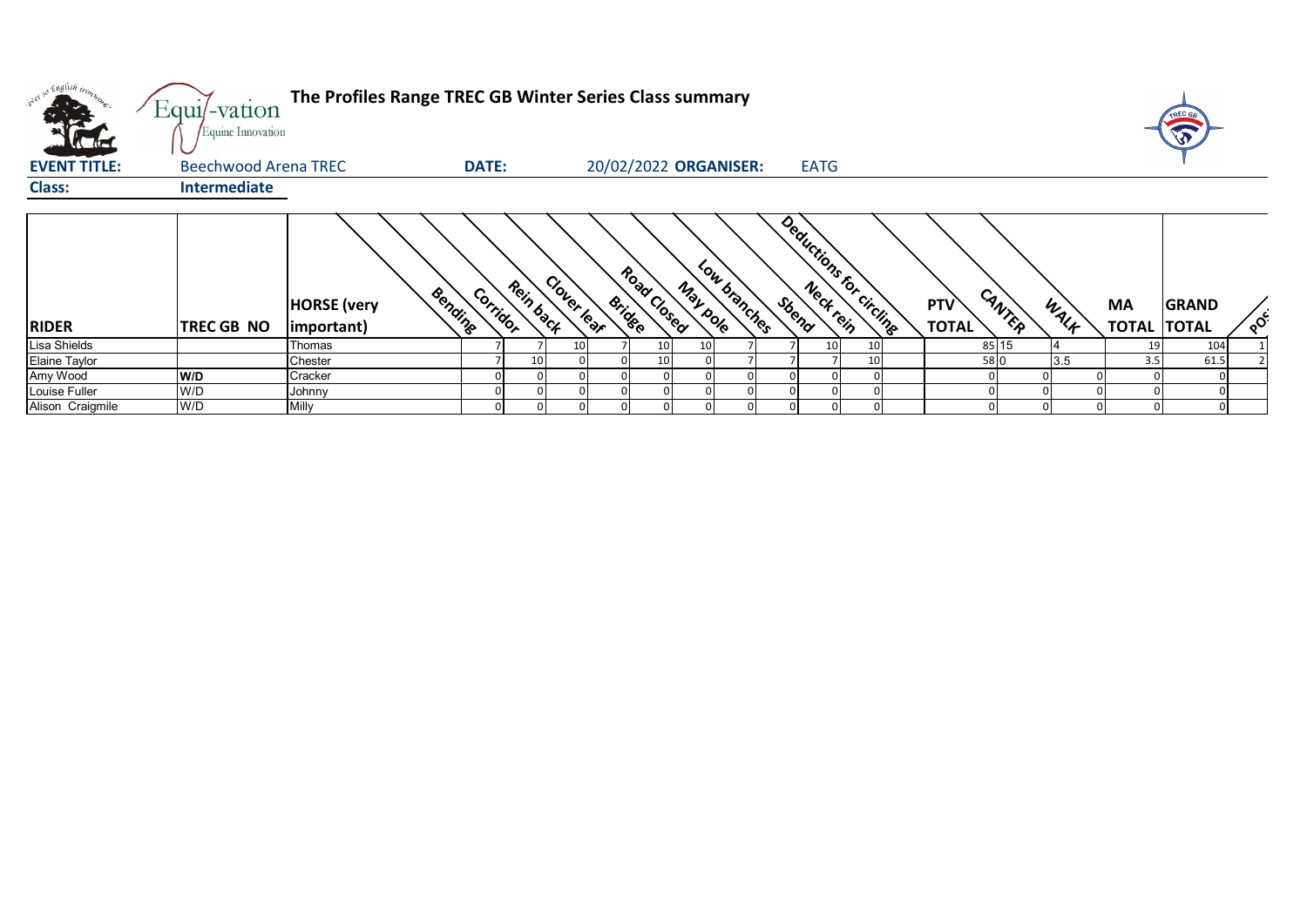| what so English trong<br>$\Lambda$ | Equi/-vation<br>Equine Innovation | The Profiles Range TREC GB Winter Series Class summary |                       |             |                                          |                 |             |                          |                               |      |                                 | <b>TREC GA</b>           |
|------------------------------------|-----------------------------------|--------------------------------------------------------|-----------------------|-------------|------------------------------------------|-----------------|-------------|--------------------------|-------------------------------|------|---------------------------------|--------------------------|
| <b>EVENT TITLE:</b>                | <b>Beechwood Arena TREC</b>       |                                                        | <b>DATE:</b>          |             | 20/02/2022 ORGANISER:                    |                 | <b>EATG</b> |                          |                               |      |                                 |                          |
| <b>Class:</b>                      | <b>Intermediate</b>               |                                                        |                       |             |                                          |                 |             |                          |                               |      |                                 |                          |
| <b>RIDER</b>                       | TREC GB NO                        | Bendine<br><b>HORSE</b> (very<br>important)            | Rein back<br>Corridor | Clover lear | Road Closed<br>May pole<br><b>Bridge</b> | Low branches    | Sbeno       | Deductions for circlings | CANTER<br>PTV<br><b>TOTAL</b> | WALK | <b>MA</b><br><b>TOTAL TOTAL</b> | <b>GRAND</b><br>$\delta$ |
| Lisa Shields                       |                                   | Thomas                                                 |                       | 10          | 10 <sub>l</sub>                          | 10 <sup>1</sup> | 10          |                          | 85 15                         |      | 19                              | 104                      |
| Elaine Taylor                      |                                   | Chester                                                |                       | 10          | 10 <sub>1</sub>                          |                 |             |                          | 58 0                          | 3.5  | 3.5                             | 61.5                     |
| Amy Wood                           | W/D                               | Cracker                                                |                       |             |                                          |                 |             |                          |                               |      |                                 |                          |
| Louise Fuller                      | W/D                               | Johnny                                                 |                       |             |                                          |                 |             |                          |                               |      |                                 |                          |
| Alison Craigmile                   | W/D                               | Milly                                                  |                       |             |                                          |                 |             |                          |                               |      |                                 |                          |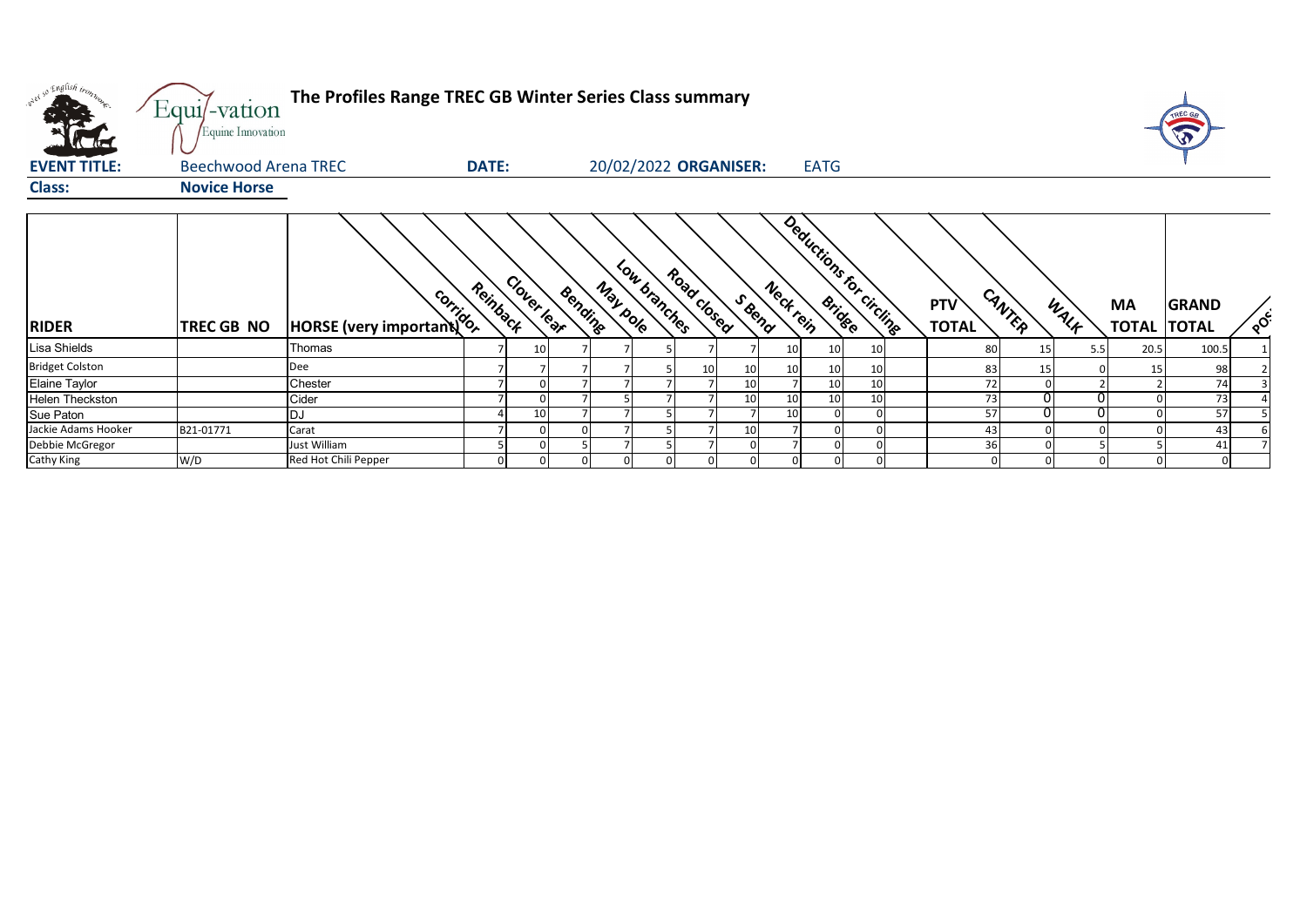| pier so English tronn.<br>$\mathcal{M}$ | Equi/-vation<br>Equine Innovation | The Profiles Range TREC GB Winter Series Class summary |                         |    |         |          |                       |             |        |                 |                 |                          |                            |        |      |                                 | TREC GE      |          |
|-----------------------------------------|-----------------------------------|--------------------------------------------------------|-------------------------|----|---------|----------|-----------------------|-------------|--------|-----------------|-----------------|--------------------------|----------------------------|--------|------|---------------------------------|--------------|----------|
| <b>EVENT TITLE:</b>                     | <b>Beechwood Arena TREC</b>       |                                                        | <b>DATE:</b>            |    |         |          | 20/02/2022 ORGANISER: |             |        |                 | <b>EATG</b>     |                          |                            |        |      |                                 |              |          |
| <b>Class:</b>                           | <b>Novice Horse</b>               |                                                        |                         |    |         |          |                       |             |        |                 |                 |                          |                            |        |      |                                 |              |          |
| <b>RIDER</b>                            | TREC GB NO                        | <b>MORSE</b> (very important)                          | Clover lear<br>Reinback |    | Bending | May pole | Low branches          | Road closed | S Bend | Neck rein       |                 | Deductions for circlings | <b>PTV</b><br><b>TOTAL</b> | CANTER | WALF | <b>MA</b><br><b>TOTAL TOTAL</b> | <b>GRAND</b> | $\delta$ |
| Lisa Shields                            |                                   | Thomas                                                 |                         | 10 |         |          |                       |             |        | 10              | 10 <sup>1</sup> | 10                       | 8C                         | 15     | 5.5  | 20.5                            | 100.5        |          |
| <b>Bridget Colston</b>                  |                                   | Dee                                                    |                         |    |         |          |                       | 10 I        | 10     | 10 <sup>1</sup> | 10 <sup>1</sup> | 10                       | 83                         | 15     |      | 15                              | 98           |          |
| Elaine Taylor                           |                                   | Chester                                                |                         |    |         |          |                       |             | 10     |                 | 10 <sup>1</sup> | 10                       | 72                         |        |      |                                 | 74           |          |
| <b>Helen Theckston</b>                  |                                   | Cider                                                  |                         |    |         |          |                       |             | 10     | 10              | 10              | 10                       | 73                         |        | 01   |                                 | 73           |          |
| Sue Paton                               |                                   | DJ                                                     |                         | 10 |         |          |                       |             |        | 10              |                 | <sup>0</sup>             | 57                         |        | ΩI   |                                 | 57           |          |
| Jackie Adams Hooker                     | B21-01771                         | Carat                                                  |                         |    |         |          |                       |             | 10     |                 |                 |                          | 43                         |        |      |                                 | 43           |          |
| Debbie McGregor                         |                                   | Just William                                           |                         |    |         |          |                       |             |        |                 | <sup>0</sup>    | $\Omega$                 | 36                         |        |      |                                 | 41           |          |
| Cathy King                              | W/D                               | Red Hot Chili Pepper                                   |                         |    |         |          |                       |             |        |                 | 0               |                          |                            |        |      |                                 | $\Omega$     |          |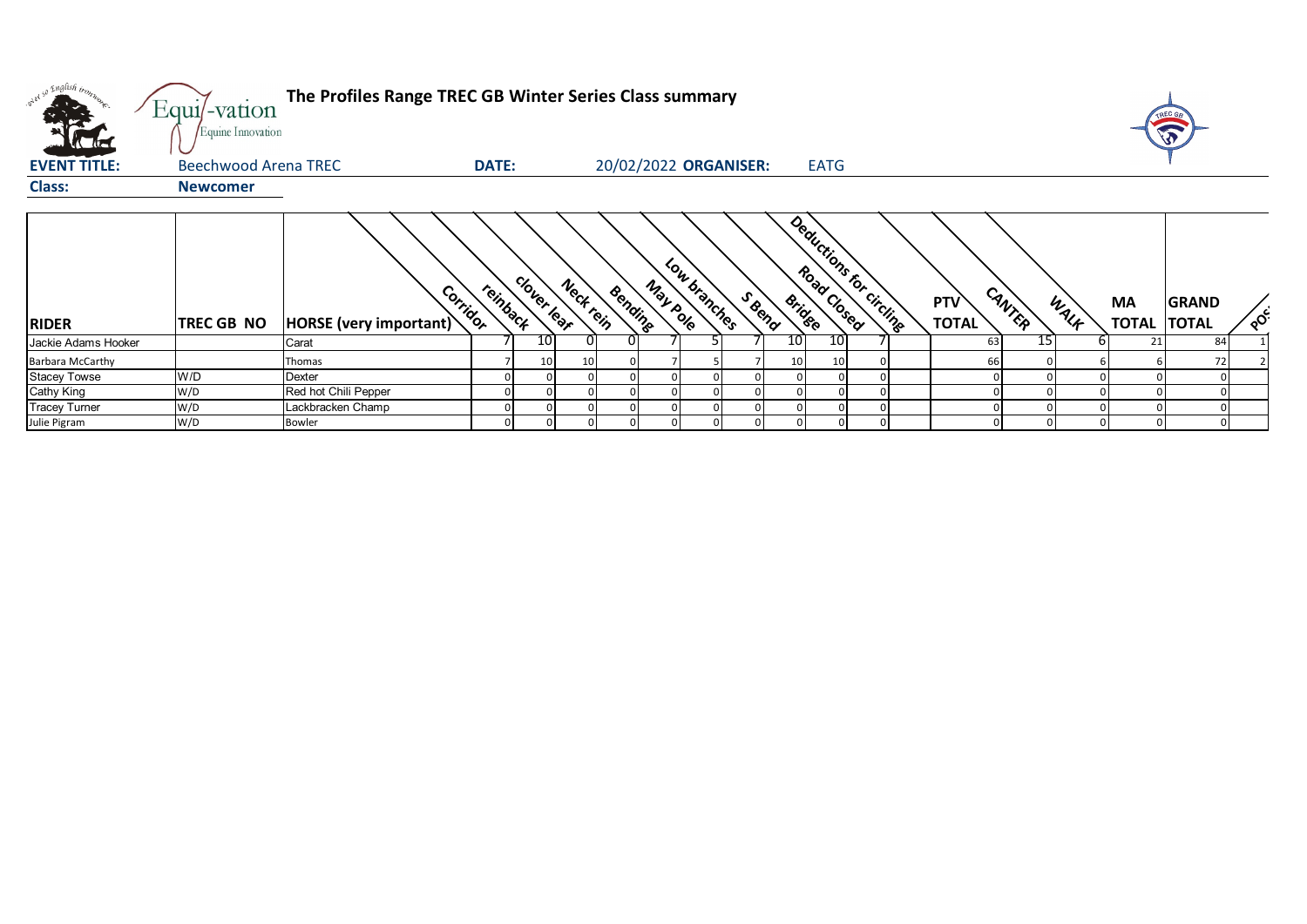| v <sup>a so English</sup> tron | Equi/-vation<br>Equine Innovation | The Profiles Range TREC GB Winter Series Class summary |          |             |           |         |                       |              |        |                 |                         |  |                            |        |      |                           | V                            |          |
|--------------------------------|-----------------------------------|--------------------------------------------------------|----------|-------------|-----------|---------|-----------------------|--------------|--------|-----------------|-------------------------|--|----------------------------|--------|------|---------------------------|------------------------------|----------|
| <b>EVENT TITLE:</b>            | Beechwood Arena TREC              |                                                        | DATE:    |             |           |         | 20/02/2022 ORGANISER: |              |        |                 | <b>EATG</b>             |  |                            |        |      |                           |                              |          |
| <b>Class:</b>                  | <b>Newcomer</b>                   |                                                        |          |             |           |         |                       |              |        |                 |                         |  |                            |        |      |                           |                              |          |
|                                |                                   |                                                        |          |             |           |         |                       |              |        |                 |                         |  |                            |        |      |                           |                              |          |
| <b>RIDER</b>                   | <b>TREC GB NO</b>                 | Corridor<br>HORSE (very important)                     | reinback | clover lear | Neck tein | Bending | May pole              | Low branches | S Beno | <b>Bridge</b>   | Deductions for Circline |  | <b>PTV</b><br><b>TOTAL</b> | CANTER | WALK | <b>MA</b><br><b>TOTAL</b> | <b>GRAND</b><br><b>TOTAL</b> | $\delta$ |
| Jackie Adams Hooker            |                                   | Carat                                                  |          | 10          |           | 0       |                       |              |        | 10 <sub>l</sub> | 10                      |  | 63                         |        | 15   | 21                        | 84                           |          |
| <b>Barbara McCarthy</b>        |                                   | Thomas                                                 |          | 10          | 10        |         |                       |              |        | 10 <sub>1</sub> | 10 <sup>1</sup>         |  | 66                         |        |      |                           | 72                           |          |
| <b>Stacey Towse</b>            | W/D                               | Dexter                                                 |          |             |           |         |                       |              |        |                 |                         |  |                            |        |      |                           |                              |          |
| Cathy King                     | W/D                               | Red hot Chili Pepper                                   |          |             |           |         |                       |              |        |                 |                         |  |                            |        |      |                           |                              |          |
| <b>Tracey Turner</b>           | W/D                               | Lackbracken Champ                                      |          |             |           |         |                       |              |        |                 |                         |  |                            |        |      |                           |                              |          |
| Julie Pigram                   | W/D                               | <b>Bowler</b>                                          |          |             |           |         |                       |              |        |                 |                         |  |                            |        |      |                           |                              |          |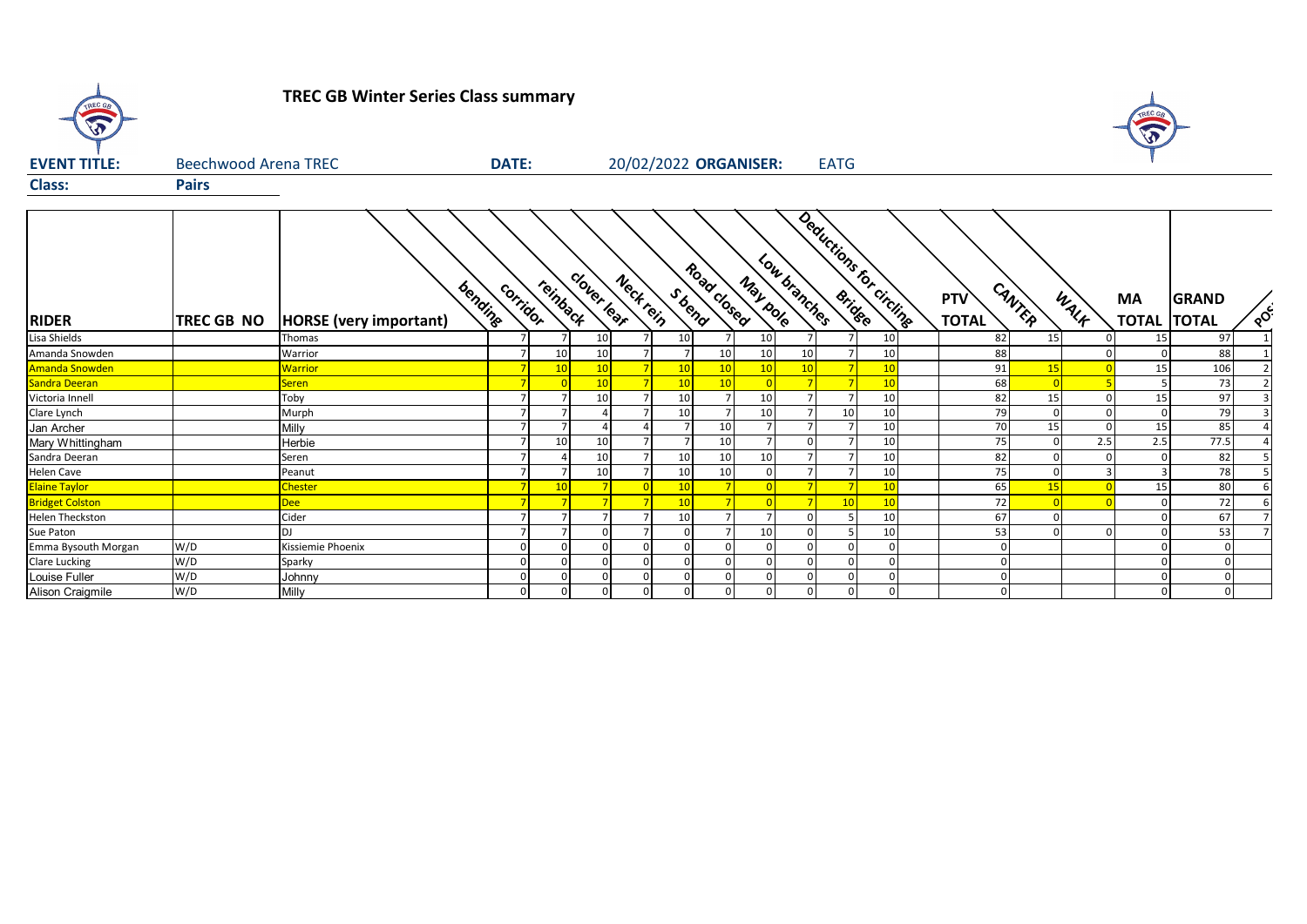

## **TREC GB Winter Series Class summary**



| <b>EVENT TITLE:</b>    | <b>Beechwood Arena TREC</b> | <b>DATE:</b>                             |          | 20/02/2022 ORGANISER:<br><b>EATG</b> |             |           |                |                          |                 |              |                          |          |  |                     |             |            |           |                                    |          |
|------------------------|-----------------------------|------------------------------------------|----------|--------------------------------------|-------------|-----------|----------------|--------------------------|-----------------|--------------|--------------------------|----------|--|---------------------|-------------|------------|-----------|------------------------------------|----------|
| <b>Class:</b>          | <b>Pairs</b>                |                                          |          |                                      |             |           |                |                          |                 |              |                          |          |  |                     |             |            |           |                                    |          |
| <b>RIDER</b>           | <b>TREC GB NO</b>           | bending<br><b>HORSE</b> (very important) | corridor | reinback                             | clover lear | Neck tein | Sbend          | Road Closed              | May pole        | Low branches | Deductions for circlines |          |  | PTV<br><b>TOTAL</b> | CANTER      | WALK       | <b>MA</b> | <b>GRAND</b><br><b>TOTAL TOTAL</b> | $\delta$ |
| Lisa Shields           |                             | Thomas                                   |          |                                      | 10          |           | 10             |                          | 10 <sup>1</sup> |              |                          | 10       |  | 82                  | 15          |            | 15        | 97                                 |          |
| Amanda Snowden         |                             | Warrior                                  |          | 10                                   | 10          |           | $\overline{7}$ | 10                       | 10              | 10           |                          | 10       |  | 88                  |             |            |           | 88                                 |          |
| <b>Amanda Snowden</b>  |                             | <b>Warrior</b>                           |          | 10                                   | 10          |           | 10             | 10                       | 10              |              |                          | 10       |  | 91                  | 15          |            | 15        | 106                                |          |
| Sandra Deeran          |                             | <b>Seren</b>                             |          |                                      | 10          |           | 10             | 10 <sup>1</sup>          |                 |              |                          | 10       |  | 68                  |             |            |           | 73                                 |          |
| Victoria Innell        |                             | Toby                                     |          |                                      | 10          |           | 10             |                          | 10              |              |                          | 10       |  | 82                  | 15          |            | 15        | 97                                 |          |
| Clare Lynch            |                             | Murph                                    |          |                                      |             |           | 10             |                          | 10              |              | 10                       | 10       |  | 79                  | $\mathbf 0$ |            |           | 79                                 |          |
| Jan Archer             |                             | Milly                                    |          |                                      |             |           | $\overline{ }$ | 10                       |                 |              |                          | 10       |  | 70                  | 15          | $\Omega$   | 15        | 85                                 |          |
| Mary Whittingham       |                             | Herbie                                   |          | 10                                   | 10          |           |                | 10                       |                 |              |                          | 10       |  | 75                  | $\Omega$    | 2.5        | 2.5       | 77.5                               |          |
| Sandra Deeran          |                             | Seren                                    |          |                                      | 10          |           | 10             | 10                       | 10              |              |                          | 10       |  | 82                  |             |            |           | 82                                 |          |
| Helen Cave             |                             | Peanut                                   |          |                                      | 10          |           | 10             | 10                       |                 |              |                          | 10       |  | 75                  | $\Omega$    |            |           | 78                                 |          |
| <b>Elaine Taylor</b>   |                             | <b>Chester</b>                           |          | 10                                   |             |           | 10             |                          |                 |              |                          | 10       |  | 65                  | 15          |            | 15        | 80                                 |          |
| <b>Bridget Colston</b> |                             | <b>Dee</b>                               |          |                                      |             |           | 10             | $\overline{\phantom{a}}$ |                 |              | 10                       | 10       |  | 72                  |             | $\sqrt{ }$ |           | 72                                 |          |
| <b>Helen Theckston</b> |                             | Cider                                    |          |                                      |             |           | 10             |                          |                 |              |                          | 10       |  | 67                  |             |            |           | 67                                 |          |
| Sue Paton              |                             | DJ                                       |          |                                      |             |           | $\mathbf{0}$   |                          | 10              |              |                          | 10       |  | 53                  | $\Omega$    |            |           | 53                                 |          |
| Emma Bysouth Morgan    | W/D                         | Kissiemie Phoenix                        |          |                                      |             |           | $\Omega$       |                          |                 |              |                          | $\Omega$ |  |                     |             |            |           | $\Omega$                           |          |
| <b>Clare Lucking</b>   | W/D                         | Sparky                                   |          |                                      |             |           | $\mathbf 0$    | $\Omega$                 |                 |              |                          | $\Omega$ |  |                     |             |            | 0         | $\Omega$                           |          |
| Louise Fuller          | W/D                         | Johnny                                   |          |                                      |             |           | $\mathbf{0}$   |                          |                 |              |                          |          |  |                     |             |            |           | $\Omega$                           |          |
| Alison Craigmile       | W/D                         | Milly                                    |          | $\Omega$                             |             | $\Omega$  | $\overline{0}$ | 0                        |                 |              |                          |          |  |                     |             |            | 0         | $\mathbf{0}$                       |          |